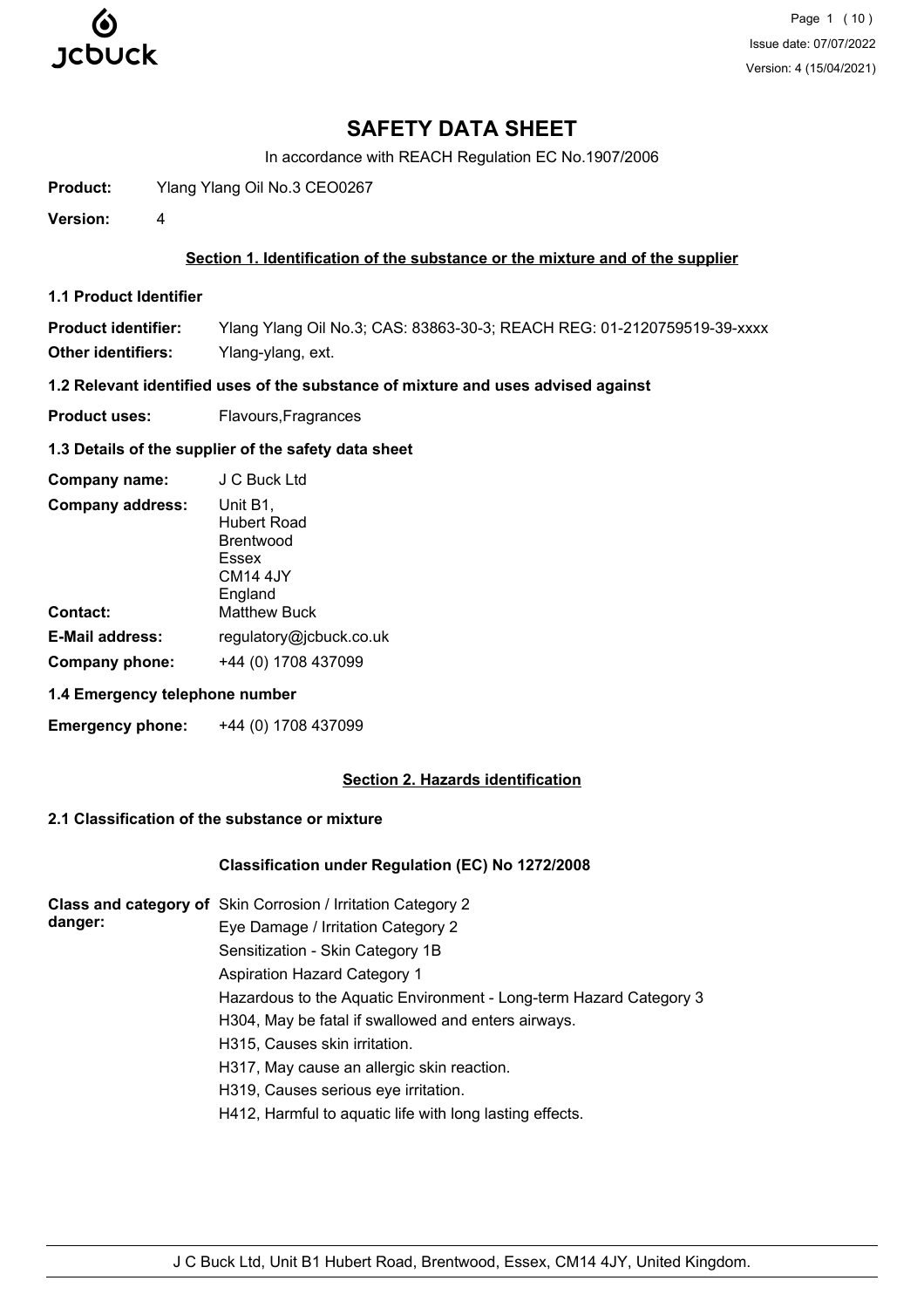

# **SAFETY DATA SHEET**

In accordance with REACH Regulation EC No.1907/2006

**Product:** Ylang Ylang Oil No.3 CEO0267

**Version:** 4

### **Section 1. Identification of the substance or the mixture and of the supplier**

**1.1 Product Identifier**

**Product identifier:** Ylang Ylang Oil No.3; CAS: 83863-30-3; REACH REG: 01-2120759519-39-xxxx **Other identifiers:** Ylang-ylang, ext.

**1.2 Relevant identified uses of the substance of mixture and uses advised against**

**Product uses:** Flavours, Fragrances

#### **1.3 Details of the supplier of the safety data sheet**

| Company name:           | J C Buck Ltd                                                                     |
|-------------------------|----------------------------------------------------------------------------------|
| <b>Company address:</b> | Unit B1,<br>Hubert Road<br>Brentwood<br>Essex<br>CM <sub>14</sub> 4JY<br>England |
| Contact:                | <b>Matthew Buck</b>                                                              |
| <b>E-Mail address:</b>  | regulatory@jcbuck.co.uk                                                          |
| Company phone:          | +44 (0) 1708 437099                                                              |

#### **1.4 Emergency telephone number**

**Emergency phone:** +44 (0) 1708 437099

# **Section 2. Hazards identification**

# **2.1 Classification of the substance or mixture**

#### **Classification under Regulation (EC) No 1272/2008**

|         | Class and category of Skin Corrosion / Irritation Category 2       |
|---------|--------------------------------------------------------------------|
| danger: | Eye Damage / Irritation Category 2                                 |
|         | Sensitization - Skin Category 1B                                   |
|         | Aspiration Hazard Category 1                                       |
|         | Hazardous to the Aquatic Environment - Long-term Hazard Category 3 |
|         | H304, May be fatal if swallowed and enters airways.                |
|         | H315, Causes skin irritation.                                      |
|         | H317, May cause an allergic skin reaction.                         |
|         | H319, Causes serious eye irritation.                               |
|         | H412, Harmful to aquatic life with long lasting effects.           |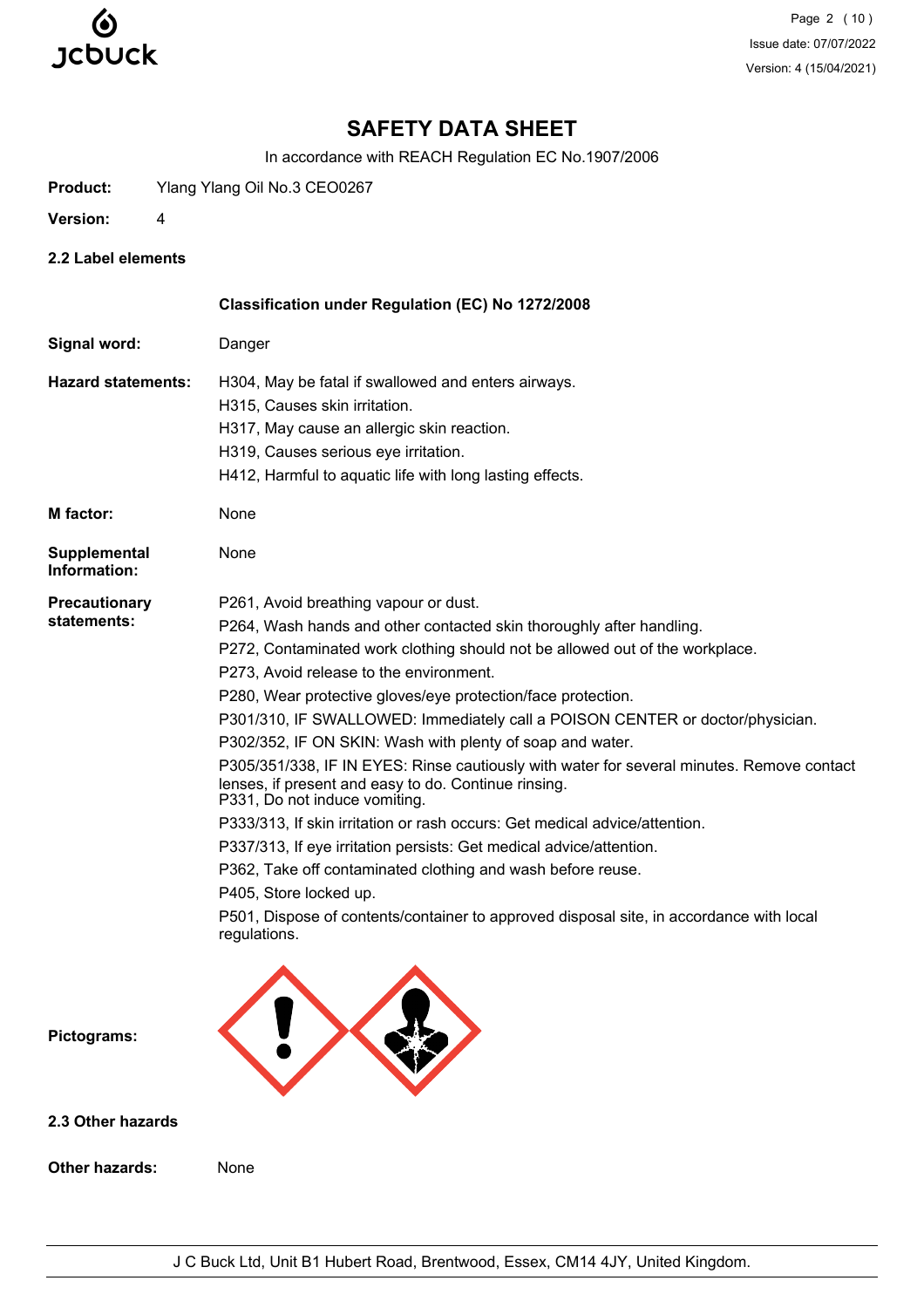

Page 2 (10) Issue date: 07/07/2022 Version: 4 (15/04/2021)

# **SAFETY DATA SHEET**

In accordance with REACH Regulation EC No.1907/2006

**Product:** Ylang Ylang Oil No.3 CEO0267

- **Version:** 4
- **2.2 Label elements**

|                              | Classification under Regulation (EC) No 1272/2008                                                                                                                                  |
|------------------------------|------------------------------------------------------------------------------------------------------------------------------------------------------------------------------------|
| Signal word:                 | Danger                                                                                                                                                                             |
| <b>Hazard statements:</b>    | H304, May be fatal if swallowed and enters airways.                                                                                                                                |
|                              | H315, Causes skin irritation.                                                                                                                                                      |
|                              | H317, May cause an allergic skin reaction.                                                                                                                                         |
|                              | H319, Causes serious eye irritation.                                                                                                                                               |
|                              | H412, Harmful to aquatic life with long lasting effects.                                                                                                                           |
| <b>M</b> factor:             | None                                                                                                                                                                               |
| Supplemental<br>Information: | None                                                                                                                                                                               |
| <b>Precautionary</b>         | P261, Avoid breathing vapour or dust.                                                                                                                                              |
| statements:                  | P264, Wash hands and other contacted skin thoroughly after handling.                                                                                                               |
|                              | P272, Contaminated work clothing should not be allowed out of the workplace.                                                                                                       |
|                              | P273, Avoid release to the environment.                                                                                                                                            |
|                              | P280, Wear protective gloves/eye protection/face protection.                                                                                                                       |
|                              | P301/310, IF SWALLOWED: Immediately call a POISON CENTER or doctor/physician.                                                                                                      |
|                              | P302/352, IF ON SKIN: Wash with plenty of soap and water.                                                                                                                          |
|                              | P305/351/338, IF IN EYES: Rinse cautiously with water for several minutes. Remove contact<br>lenses, if present and easy to do. Continue rinsing.<br>P331, Do not induce vomiting. |
|                              | P333/313, If skin irritation or rash occurs: Get medical advice/attention.                                                                                                         |
|                              | P337/313, If eye irritation persists: Get medical advice/attention.                                                                                                                |
|                              | P362, Take off contaminated clothing and wash before reuse.                                                                                                                        |
|                              | P405, Store locked up.                                                                                                                                                             |
|                              | P501, Dispose of contents/container to approved disposal site, in accordance with local<br>regulations.                                                                            |
| Pictograms:                  |                                                                                                                                                                                    |

**2.3 Other hazards**

**Other hazards:** None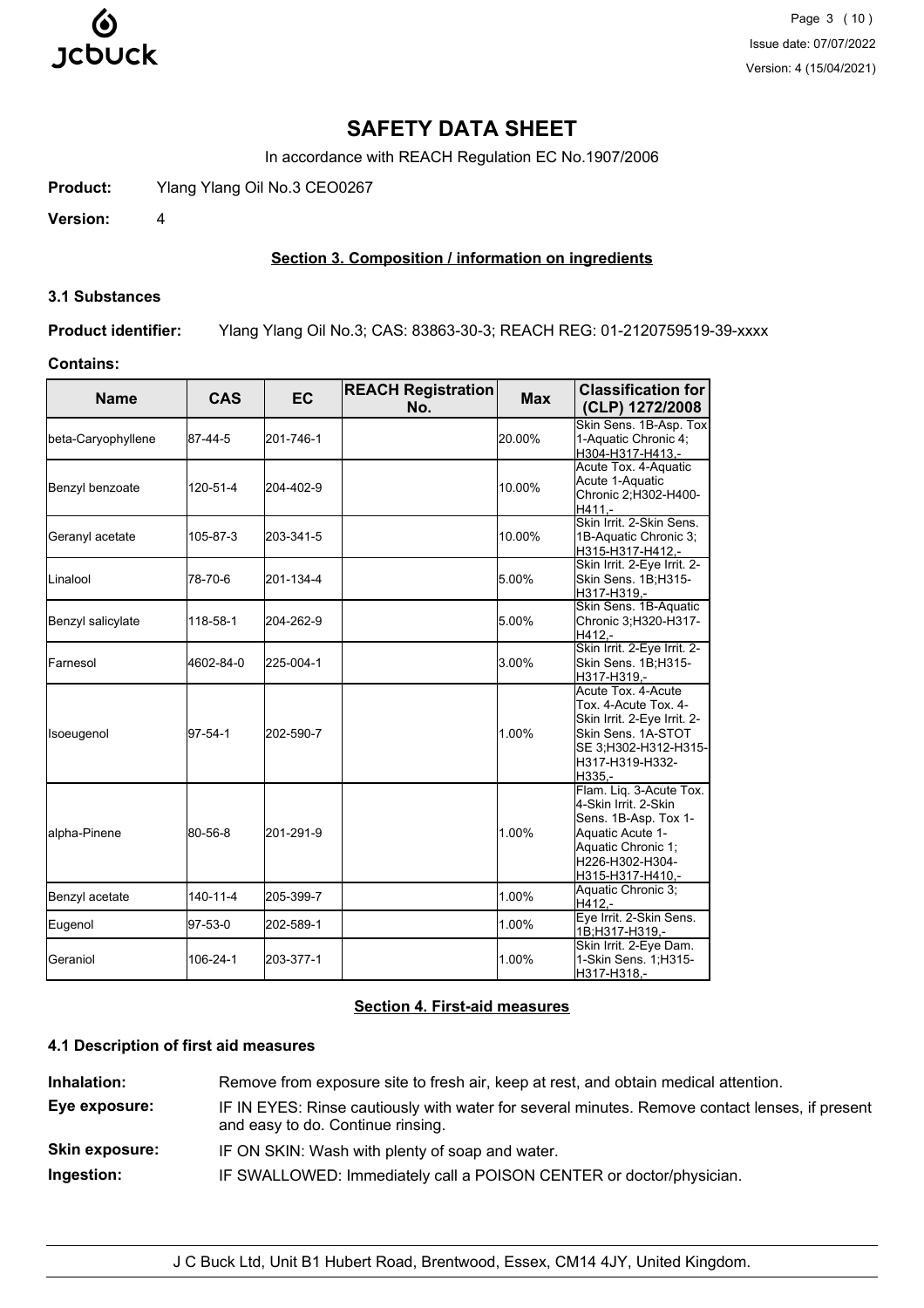

Page 3 (10) Issue date: 07/07/2022 Version: 4 (15/04/2021)

# **SAFETY DATA SHEET**

In accordance with REACH Regulation EC No.1907/2006

**Product:** Ylang Ylang Oil No.3 CEO0267

**Version:** 4

# **Section 3. Composition / information on ingredients**

#### **3.1 Substances**

**Product identifier:** Ylang Ylang Oil No.3; CAS: 83863-30-3; REACH REG: 01-2120759519-39-xxxx

## **Contains:**

| <b>Name</b>        | <b>CAS</b> | <b>EC</b> | <b>REACH Registration</b><br>No. | <b>Max</b> | <b>Classification for</b><br>(CLP) 1272/2008                                                                                                             |
|--------------------|------------|-----------|----------------------------------|------------|----------------------------------------------------------------------------------------------------------------------------------------------------------|
| beta-Caryophyllene | 87-44-5    | 201-746-1 |                                  | 20.00%     | Skin Sens. 1B-Asp. Tox<br>1-Aquatic Chronic 4;<br>H304-H317-H413,-                                                                                       |
| Benzyl benzoate    | 120-51-4   | 204-402-9 |                                  | 10.00%     | Acute Tox. 4-Aquatic<br>Acute 1-Aquatic<br>Chronic 2;H302-H400-<br>H411.-                                                                                |
| Geranyl acetate    | 105-87-3   | 203-341-5 |                                  | 10.00%     | Skin Irrit, 2-Skin Sens.<br>1B-Aquatic Chronic 3;<br>H315-H317-H412,-                                                                                    |
| <b>L</b> inalool   | 78-70-6    | 201-134-4 |                                  | 5.00%      | Skin Irrit. 2-Eye Irrit. 2-<br>Skin Sens. 1B;H315-<br>H317-H319.-                                                                                        |
| Benzyl salicylate  | 118-58-1   | 204-262-9 |                                  | 5.00%      | Skin Sens. 1B-Aquatic<br>Chronic 3; H320-H317-<br>H412.-                                                                                                 |
| Farnesol           | 4602-84-0  | 225-004-1 |                                  | 3.00%      | Skin Irrit. 2-Eye Irrit. 2-<br>Skin Sens. 1B;H315-<br>H317-H319.-                                                                                        |
| Isoeugenol         | 97-54-1    | 202-590-7 |                                  | 1.00%      | Acute Tox, 4-Acute<br>Tox. 4-Acute Tox. 4-<br>Skin Irrit. 2-Eye Irrit. 2-<br>Skin Sens. 1A-STOT<br>SE 3;H302-H312-H315-<br>H317-H319-H332-<br>H335.-     |
| alpha-Pinene       | 80-56-8    | 201-291-9 |                                  | 1.00%      | Flam. Liq. 3-Acute Tox.<br>4-Skin Irrit. 2-Skin<br>Sens. 1B-Asp. Tox 1-<br>Aquatic Acute 1-<br>Aquatic Chronic 1;<br>H226-H302-H304-<br>H315-H317-H410,- |
| Benzyl acetate     | 140-11-4   | 205-399-7 |                                  | 1.00%      | Aquatic Chronic 3;<br>H412.-                                                                                                                             |
| Eugenol            | 97-53-0    | 202-589-1 |                                  | 1.00%      | Eye Irrit. 2-Skin Sens.<br>1B;H317-H319,-                                                                                                                |
| Geraniol           | 106-24-1   | 203-377-1 |                                  | 1.00%      | Skin Irrit. 2-Eye Dam.<br>1-Skin Sens. 1; H315-<br>H317-H318,-                                                                                           |

### **Section 4. First-aid measures**

# **4.1 Description of first aid measures**

| Inhalation:           | Remove from exposure site to fresh air, keep at rest, and obtain medical attention.                                                 |
|-----------------------|-------------------------------------------------------------------------------------------------------------------------------------|
| Eye exposure:         | IF IN EYES: Rinse cautiously with water for several minutes. Remove contact lenses, if present<br>and easy to do. Continue rinsing. |
| <b>Skin exposure:</b> | IF ON SKIN: Wash with plenty of soap and water.                                                                                     |
| Ingestion:            | IF SWALLOWED: Immediately call a POISON CENTER or doctor/physician.                                                                 |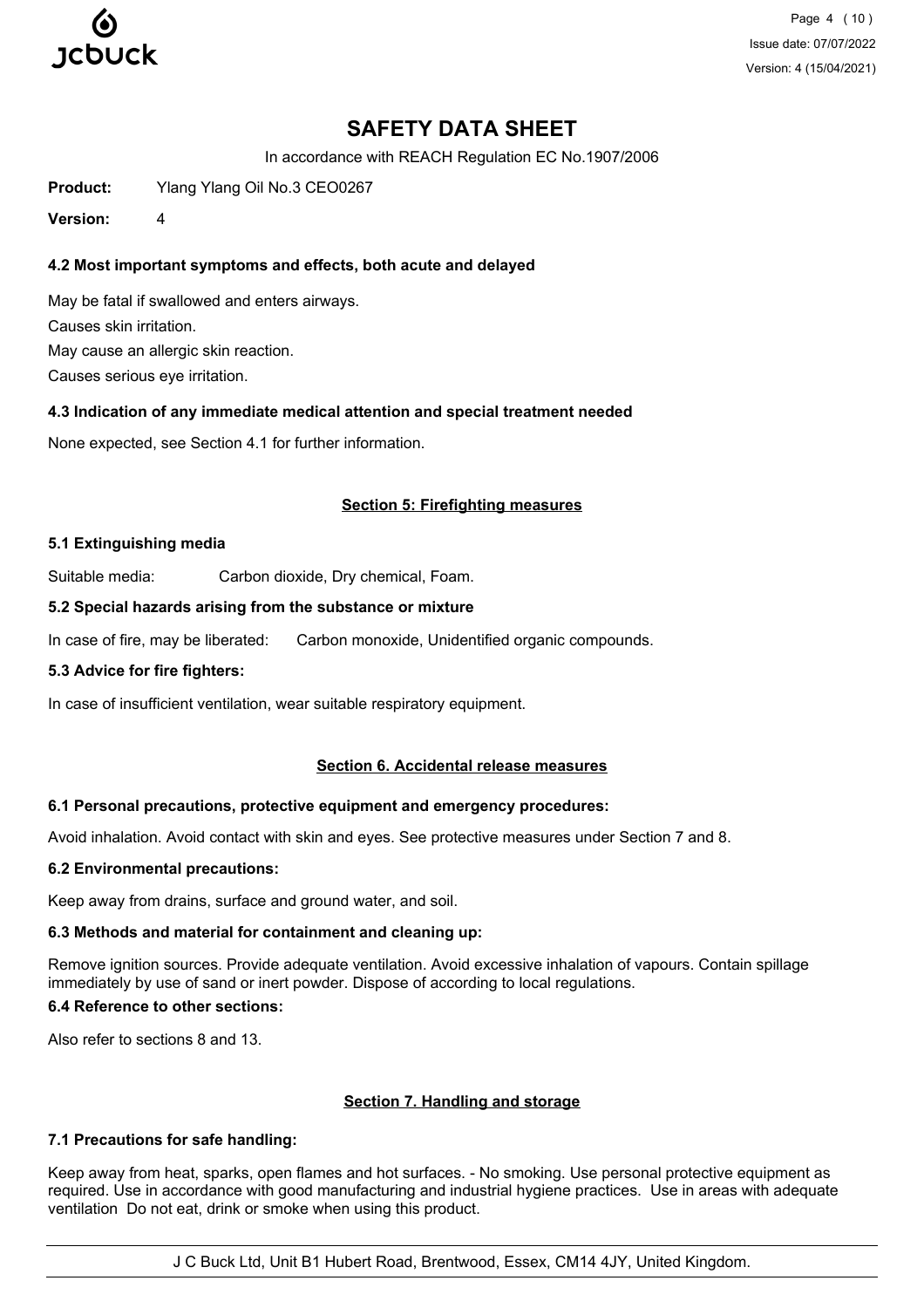

Page 4 (10) Issue date: 07/07/2022 Version: 4 (15/04/2021)

# **SAFETY DATA SHEET**

In accordance with REACH Regulation EC No.1907/2006

**Product:** Ylang Ylang Oil No.3 CEO0267

**Version:** 4

# **4.2 Most important symptoms and effects, both acute and delayed**

May be fatal if swallowed and enters airways. Causes skin irritation. May cause an allergic skin reaction. Causes serious eye irritation.

# **4.3 Indication of any immediate medical attention and special treatment needed**

None expected, see Section 4.1 for further information.

# **Section 5: Firefighting measures**

### **5.1 Extinguishing media**

Suitable media: Carbon dioxide, Dry chemical, Foam.

### **5.2 Special hazards arising from the substance or mixture**

In case of fire, may be liberated: Carbon monoxide, Unidentified organic compounds.

#### **5.3 Advice for fire fighters:**

In case of insufficient ventilation, wear suitable respiratory equipment.

# **Section 6. Accidental release measures**

# **6.1 Personal precautions, protective equipment and emergency procedures:**

Avoid inhalation. Avoid contact with skin and eyes. See protective measures under Section 7 and 8.

#### **6.2 Environmental precautions:**

Keep away from drains, surface and ground water, and soil.

# **6.3 Methods and material for containment and cleaning up:**

Remove ignition sources. Provide adequate ventilation. Avoid excessive inhalation of vapours. Contain spillage immediately by use of sand or inert powder. Dispose of according to local regulations.

#### **6.4 Reference to other sections:**

Also refer to sections 8 and 13.

# **Section 7. Handling and storage**

# **7.1 Precautions for safe handling:**

Keep away from heat, sparks, open flames and hot surfaces. - No smoking. Use personal protective equipment as required. Use in accordance with good manufacturing and industrial hygiene practices. Use in areas with adequate ventilation Do not eat, drink or smoke when using this product.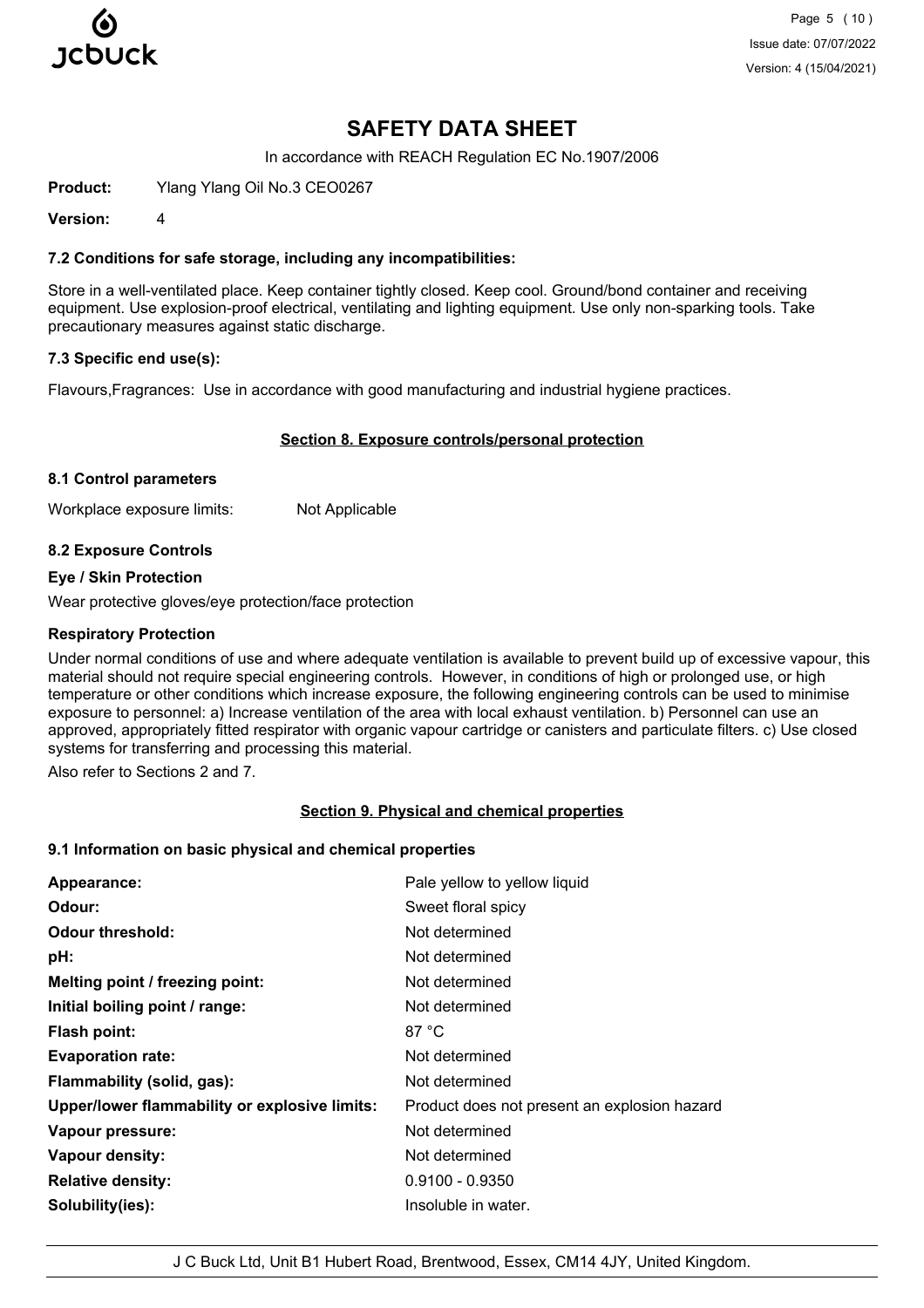

Page 5 (10) Issue date: 07/07/2022 Version: 4 (15/04/2021)

# **SAFETY DATA SHEET**

In accordance with REACH Regulation EC No.1907/2006

**Product:** Ylang Ylang Oil No.3 CEO0267

**Version:** 4

#### **7.2 Conditions for safe storage, including any incompatibilities:**

Store in a well-ventilated place. Keep container tightly closed. Keep cool. Ground/bond container and receiving equipment. Use explosion-proof electrical, ventilating and lighting equipment. Use only non-sparking tools. Take precautionary measures against static discharge.

#### **7.3 Specific end use(s):**

Flavours,Fragrances: Use in accordance with good manufacturing and industrial hygiene practices.

#### **Section 8. Exposure controls/personal protection**

#### **8.1 Control parameters**

Workplace exposure limits: Not Applicable

#### **8.2 Exposure Controls**

#### **Eye / Skin Protection**

Wear protective gloves/eye protection/face protection

#### **Respiratory Protection**

Under normal conditions of use and where adequate ventilation is available to prevent build up of excessive vapour, this material should not require special engineering controls. However, in conditions of high or prolonged use, or high temperature or other conditions which increase exposure, the following engineering controls can be used to minimise exposure to personnel: a) Increase ventilation of the area with local exhaust ventilation. b) Personnel can use an approved, appropriately fitted respirator with organic vapour cartridge or canisters and particulate filters. c) Use closed systems for transferring and processing this material.

Also refer to Sections 2 and 7.

#### **Section 9. Physical and chemical properties**

#### **9.1 Information on basic physical and chemical properties**

| Appearance:                                   | Pale yellow to yellow liquid                 |
|-----------------------------------------------|----------------------------------------------|
| Odour:                                        | Sweet floral spicy                           |
| <b>Odour threshold:</b>                       | Not determined                               |
| pH:                                           | Not determined                               |
| Melting point / freezing point:               | Not determined                               |
| Initial boiling point / range:                | Not determined                               |
| <b>Flash point:</b>                           | 87 °C                                        |
| <b>Evaporation rate:</b>                      | Not determined                               |
| Flammability (solid, gas):                    | Not determined                               |
| Upper/lower flammability or explosive limits: | Product does not present an explosion hazard |
| Vapour pressure:                              | Not determined                               |
| Vapour density:                               | Not determined                               |
| <b>Relative density:</b>                      | $0.9100 - 0.9350$                            |
| Solubility(ies):                              | Insoluble in water.                          |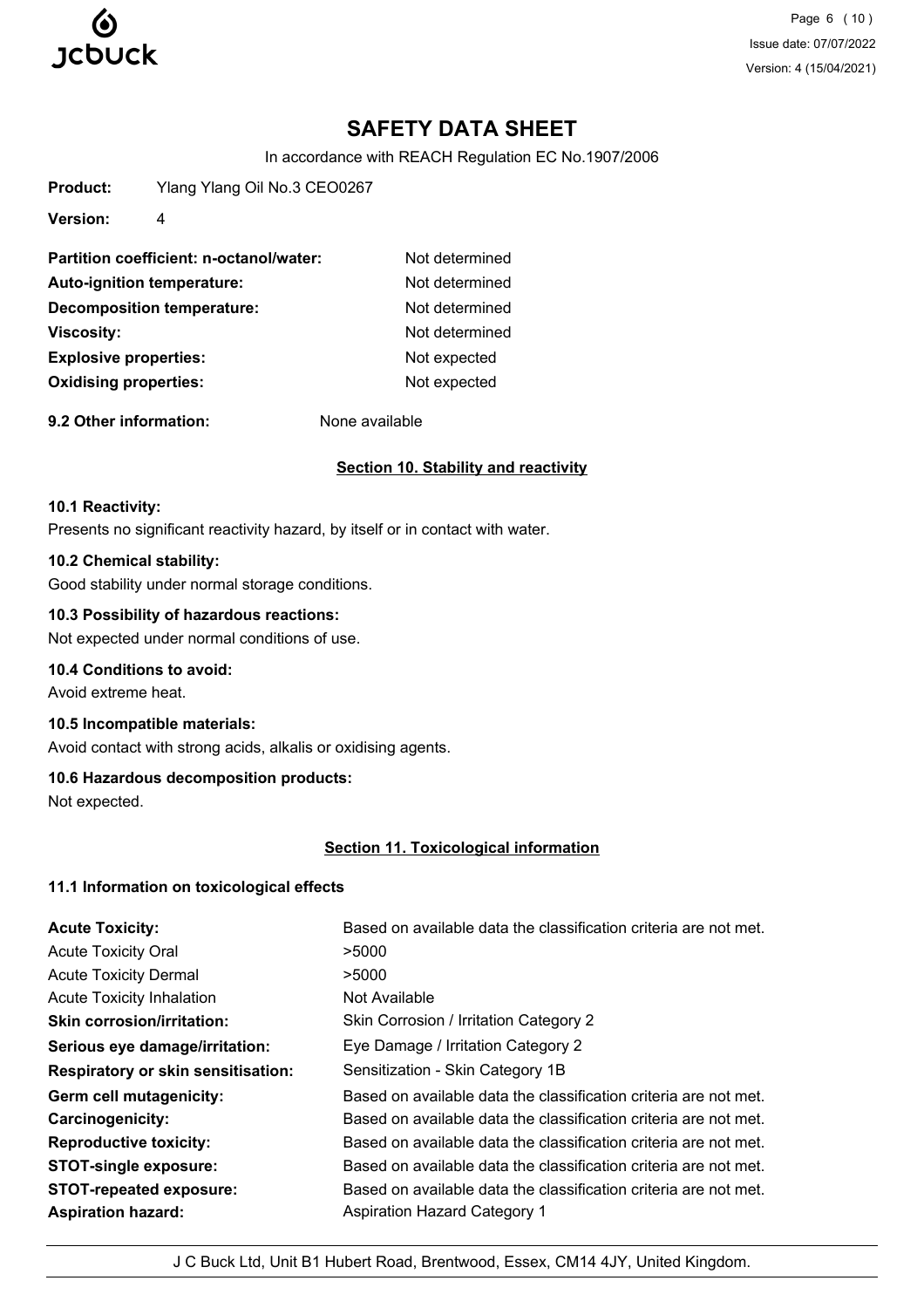

Page 6 (10) Issue date: 07/07/2022 Version: 4 (15/04/2021)

# **SAFETY DATA SHEET**

In accordance with REACH Regulation EC No.1907/2006

| Product: | Ylang Ylang Oil No.3 CEO0267 |
|----------|------------------------------|
|----------|------------------------------|

**Version:** 4

| Partition coefficient: n-octanol/water: | Not determined |
|-----------------------------------------|----------------|
| Auto-ignition temperature:              | Not determined |
| <b>Decomposition temperature:</b>       | Not determined |
| <b>Viscosity:</b>                       | Not determined |
| <b>Explosive properties:</b>            | Not expected   |
| <b>Oxidising properties:</b>            | Not expected   |
|                                         |                |

**9.2 Other information:** None available

# **Section 10. Stability and reactivity**

### **10.1 Reactivity:**

Presents no significant reactivity hazard, by itself or in contact with water.

# **10.2 Chemical stability:**

Good stability under normal storage conditions.

# **10.3 Possibility of hazardous reactions:**

Not expected under normal conditions of use.

# **10.4 Conditions to avoid:**

Avoid extreme heat.

# **10.5 Incompatible materials:**

Avoid contact with strong acids, alkalis or oxidising agents.

# **10.6 Hazardous decomposition products:**

Not expected.

# **Section 11. Toxicological information**

# **11.1 Information on toxicological effects**

| <b>Acute Toxicity:</b>                    | Based on available data the classification criteria are not met. |
|-------------------------------------------|------------------------------------------------------------------|
| <b>Acute Toxicity Oral</b>                | >5000                                                            |
| <b>Acute Toxicity Dermal</b>              | >5000                                                            |
| <b>Acute Toxicity Inhalation</b>          | Not Available                                                    |
| <b>Skin corrosion/irritation:</b>         | Skin Corrosion / Irritation Category 2                           |
| Serious eye damage/irritation:            | Eye Damage / Irritation Category 2                               |
| <b>Respiratory or skin sensitisation:</b> | Sensitization - Skin Category 1B                                 |
| Germ cell mutagenicity:                   | Based on available data the classification criteria are not met. |
| Carcinogenicity:                          | Based on available data the classification criteria are not met. |
| <b>Reproductive toxicity:</b>             | Based on available data the classification criteria are not met. |
| <b>STOT-single exposure:</b>              | Based on available data the classification criteria are not met. |
| <b>STOT-repeated exposure:</b>            | Based on available data the classification criteria are not met. |
| <b>Aspiration hazard:</b>                 | <b>Aspiration Hazard Category 1</b>                              |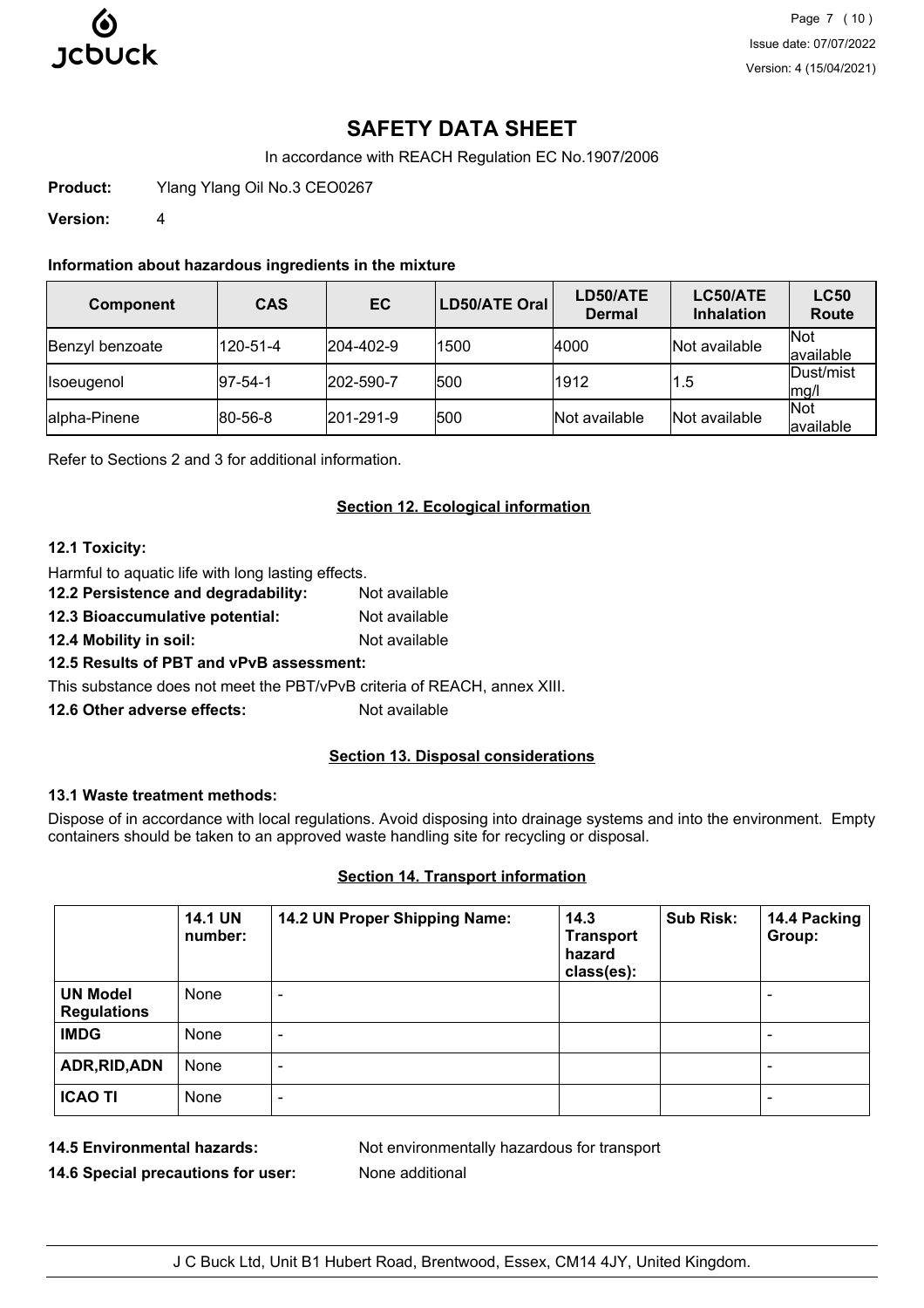

Page 7 (10) Issue date: 07/07/2022 Version: 4 (15/04/2021)

# **SAFETY DATA SHEET**

In accordance with REACH Regulation EC No.1907/2006

**Product:** Ylang Ylang Oil No.3 CEO0267

**Version:** 4

### **Information about hazardous ingredients in the mixture**

| <b>Component</b>  | <b>CAS</b>      | EC        | <b>LD50/ATE Oral</b> | LD50/ATE<br><b>Dermal</b> | LC50/ATE<br><b>Inhalation</b> | <b>LC50</b><br><b>Route</b> |
|-------------------|-----------------|-----------|----------------------|---------------------------|-------------------------------|-----------------------------|
| Benzyl benzoate   | 120-51-4        | 204-402-9 | 1500                 | 4000                      | Not available                 | <b>Not</b><br>available     |
| <b>Isoeugenol</b> | $ 97-54-1 $     | 202-590-7 | 500                  | 1912                      | 1.5                           | Dust/mist<br>$\vert$ mg/l   |
| alpha-Pinene      | $ 80 - 56 - 8 $ | 201-291-9 | 500                  | Not available             | Not available                 | Not<br>lavailable           |

Refer to Sections 2 and 3 for additional information.

# **Section 12. Ecological information**

### **12.1 Toxicity:**

Harmful to aquatic life with long lasting effects.

**12.2 Persistence and degradability:** Not available

**12.3 Bioaccumulative potential:** Not available

**12.4 Mobility in soil:** Not available

# **12.5 Results of PBT and vPvB assessment:**

This substance does not meet the PBT/vPvB criteria of REACH, annex XIII.

**12.6 Other adverse effects:** Not available

# **Section 13. Disposal considerations**

# **13.1 Waste treatment methods:**

Dispose of in accordance with local regulations. Avoid disposing into drainage systems and into the environment. Empty containers should be taken to an approved waste handling site for recycling or disposal.

# **Section 14. Transport information**

|                                       | <b>14.1 UN</b><br>number: | 14.2 UN Proper Shipping Name: | 14.3<br><b>Transport</b><br>hazard<br>class(es): | <b>Sub Risk:</b> | 14.4 Packing<br>Group:   |
|---------------------------------------|---------------------------|-------------------------------|--------------------------------------------------|------------------|--------------------------|
| <b>UN Model</b><br><b>Regulations</b> | None                      | -                             |                                                  |                  | ۰                        |
| <b>IMDG</b>                           | None                      | ٠                             |                                                  |                  | ۰                        |
| ADR, RID, ADN                         | None                      | $\overline{\phantom{a}}$      |                                                  |                  | ۰                        |
| <b>ICAO TI</b>                        | None                      | -                             |                                                  |                  | $\overline{\phantom{0}}$ |

**14.6 Special precautions for user:** None additional

**14.5 Environmental hazards:** Not environmentally hazardous for transport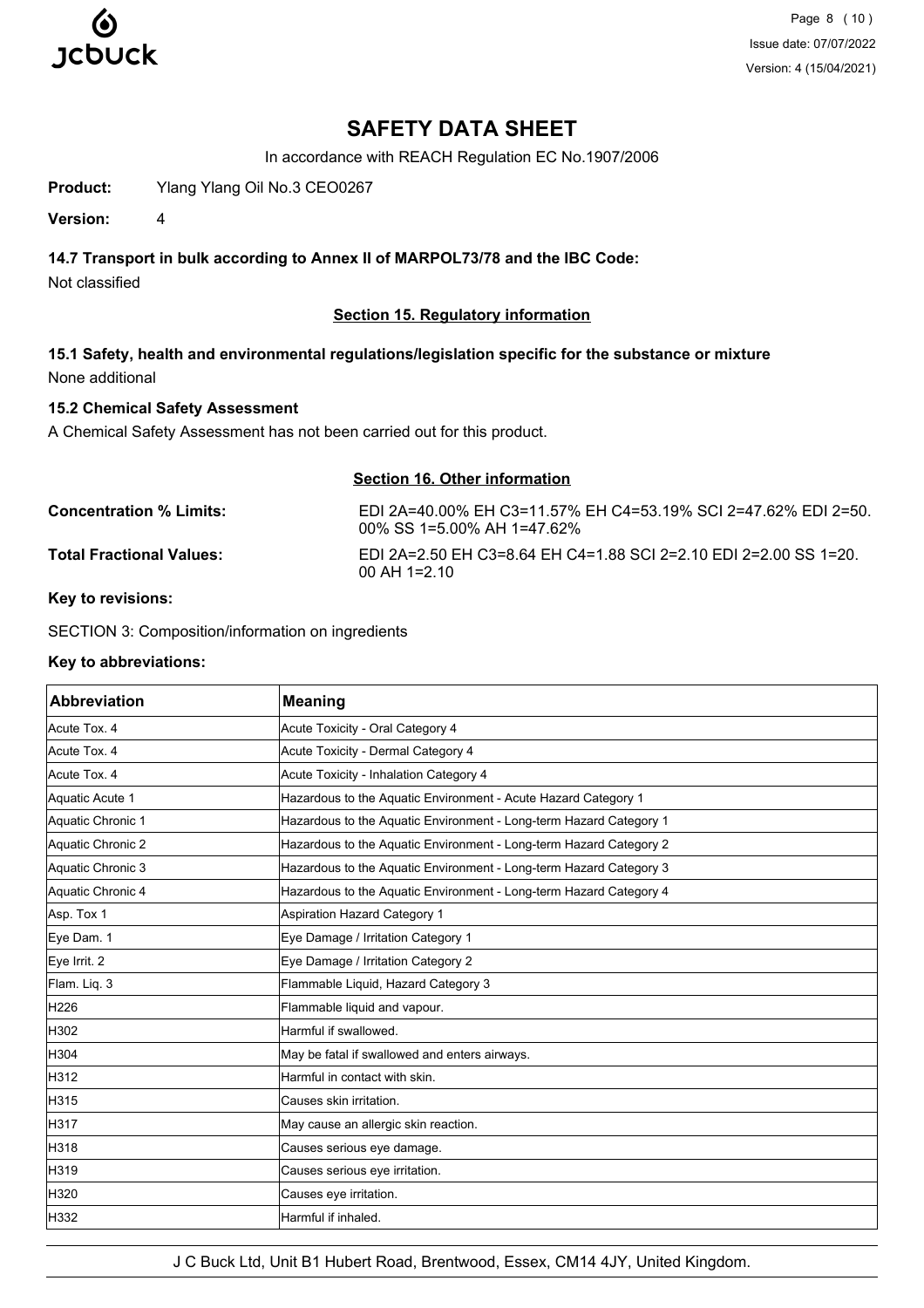

Page 8 (10) Issue date: 07/07/2022 Version: 4 (15/04/2021)

# **SAFETY DATA SHEET**

In accordance with REACH Regulation EC No.1907/2006

**Product:** Ylang Ylang Oil No.3 CEO0267

**Version:** 4

# **14.7 Transport in bulk according to Annex II of MARPOL73/78 and the IBC Code:**

Not classified

# **Section 15. Regulatory information**

**15.1 Safety, health and environmental regulations/legislation specific for the substance or mixture** None additional

# **15.2 Chemical Safety Assessment**

A Chemical Safety Assessment has not been carried out for this product.

| <b>Section 16. Other information</b> |                                                                                              |  |
|--------------------------------------|----------------------------------------------------------------------------------------------|--|
| Concentration % Limits:              | EDI 2A=40.00% EH C3=11.57% EH C4=53.19% SCI 2=47.62% EDI 2=50.<br>00% SS 1=5.00% AH 1=47.62% |  |
| Total Fractional Values:             | EDI 2A=2.50 EH C3=8.64 EH C4=1.88 SCI 2=2.10 EDI 2=2.00 SS 1=20.<br>$00$ AH 1=2.10           |  |

**Key to revisions:**

SECTION 3: Composition/information on ingredients

# **Key to abbreviations:**

| Abbreviation      | <b>Meaning</b>                                                     |
|-------------------|--------------------------------------------------------------------|
| Acute Tox. 4      | Acute Toxicity - Oral Category 4                                   |
| Acute Tox. 4      | Acute Toxicity - Dermal Category 4                                 |
| Acute Tox, 4      | Acute Toxicity - Inhalation Category 4                             |
| Aquatic Acute 1   | Hazardous to the Aquatic Environment - Acute Hazard Category 1     |
| Aquatic Chronic 1 | Hazardous to the Aquatic Environment - Long-term Hazard Category 1 |
| Aquatic Chronic 2 | Hazardous to the Aquatic Environment - Long-term Hazard Category 2 |
| Aquatic Chronic 3 | Hazardous to the Aquatic Environment - Long-term Hazard Category 3 |
| Aquatic Chronic 4 | Hazardous to the Aquatic Environment - Long-term Hazard Category 4 |
| Asp. Tox 1        | Aspiration Hazard Category 1                                       |
| Eye Dam. 1        | Eye Damage / Irritation Category 1                                 |
| Eye Irrit. 2      | Eye Damage / Irritation Category 2                                 |
| Flam. Liq. 3      | Flammable Liquid, Hazard Category 3                                |
| H226              | Flammable liquid and vapour.                                       |
| H302              | Harmful if swallowed.                                              |
| H304              | May be fatal if swallowed and enters airways.                      |
| H312              | Harmful in contact with skin.                                      |
| H315              | Causes skin irritation.                                            |
| H317              | May cause an allergic skin reaction.                               |
| H318              | Causes serious eye damage.                                         |
| H319              | Causes serious eye irritation.                                     |
| H320              | Causes eye irritation.                                             |
| H332              | Harmful if inhaled.                                                |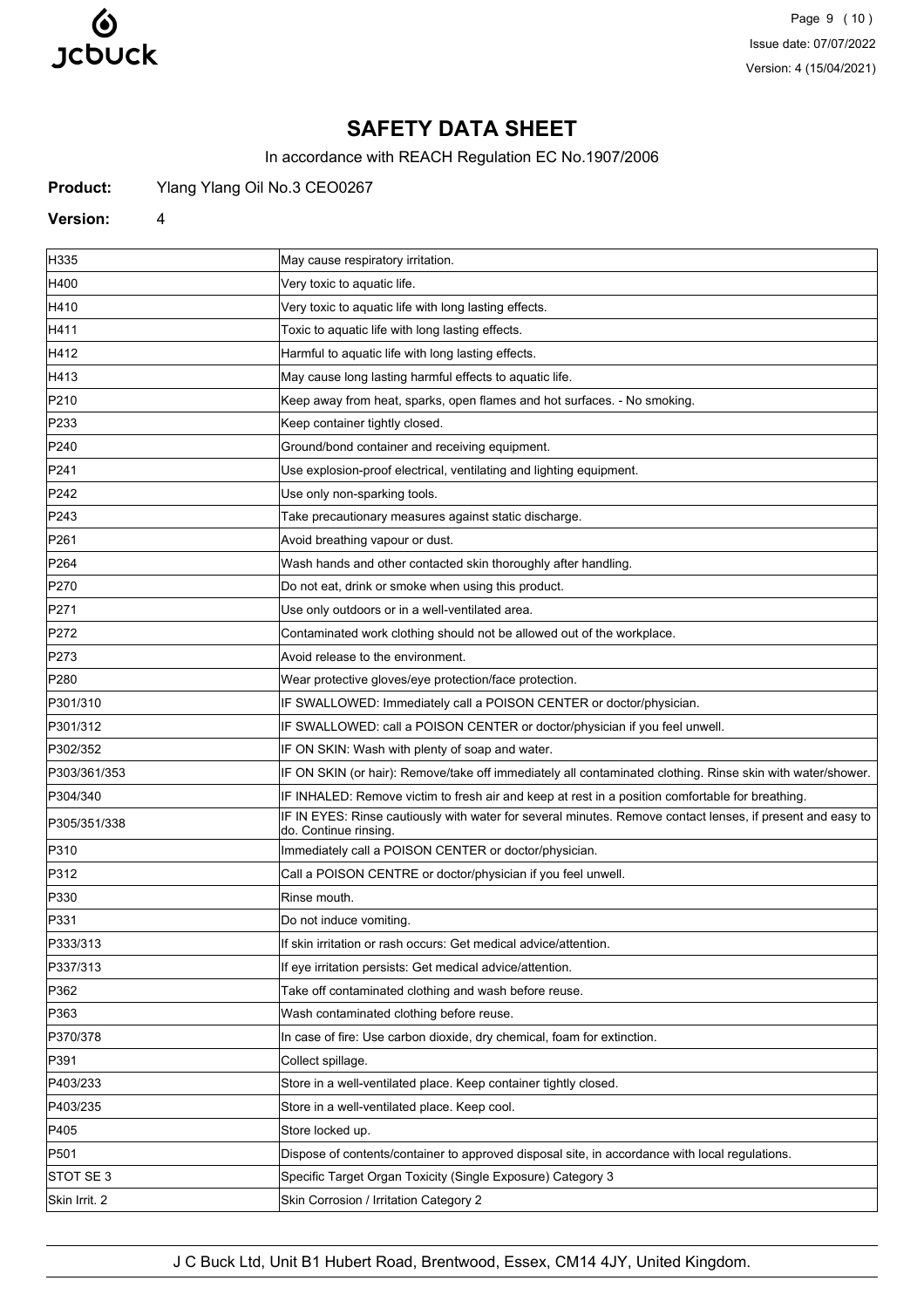

Page 9 (10) Issue date: 07/07/2022 Version: 4 (15/04/2021)

# **SAFETY DATA SHEET**

In accordance with REACH Regulation EC No.1907/2006

Product: Ylang Ylang Oil No.3 CEO0267

### **Version:** 4

| H335             | May cause respiratory irritation.                                                                                                   |
|------------------|-------------------------------------------------------------------------------------------------------------------------------------|
| H400             | Very toxic to aquatic life.                                                                                                         |
| H410             | Very toxic to aquatic life with long lasting effects.                                                                               |
| H411             | Toxic to aquatic life with long lasting effects.                                                                                    |
| H412             | Harmful to aquatic life with long lasting effects.                                                                                  |
| H413             | May cause long lasting harmful effects to aquatic life.                                                                             |
| P210             | Keep away from heat, sparks, open flames and hot surfaces. - No smoking.                                                            |
| P233             | Keep container tightly closed.                                                                                                      |
| P240             | Ground/bond container and receiving equipment.                                                                                      |
| P241             | Use explosion-proof electrical, ventilating and lighting equipment.                                                                 |
| P242             | Use only non-sparking tools.                                                                                                        |
| P <sub>243</sub> | Take precautionary measures against static discharge.                                                                               |
| P <sub>261</sub> | Avoid breathing vapour or dust.                                                                                                     |
| P <sub>264</sub> | Wash hands and other contacted skin thoroughly after handling.                                                                      |
| P270             | Do not eat, drink or smoke when using this product.                                                                                 |
| P271             | Use only outdoors or in a well-ventilated area.                                                                                     |
| P272             | Contaminated work clothing should not be allowed out of the workplace.                                                              |
| P273             | Avoid release to the environment.                                                                                                   |
| P280             | Wear protective gloves/eye protection/face protection.                                                                              |
| P301/310         | IF SWALLOWED: Immediately call a POISON CENTER or doctor/physician.                                                                 |
| P301/312         | IF SWALLOWED: call a POISON CENTER or doctor/physician if you feel unwell.                                                          |
| P302/352         | IF ON SKIN: Wash with plenty of soap and water.                                                                                     |
| P303/361/353     | IF ON SKIN (or hair): Remove/take off immediately all contaminated clothing. Rinse skin with water/shower.                          |
| P304/340         | IF INHALED: Remove victim to fresh air and keep at rest in a position comfortable for breathing.                                    |
| P305/351/338     | IF IN EYES: Rinse cautiously with water for several minutes. Remove contact lenses, if present and easy to<br>do. Continue rinsing. |
| P310             | Immediately call a POISON CENTER or doctor/physician.                                                                               |
| P312             | Call a POISON CENTRE or doctor/physician if you feel unwell.                                                                        |
| P330             | Rinse mouth.                                                                                                                        |
| P331             | Do not induce vomiting.                                                                                                             |
| P333/313         | If skin irritation or rash occurs: Get medical advice/attention.                                                                    |
| P337/313         | If eye irritation persists: Get medical advice/attention.                                                                           |
| P362             | Take off contaminated clothing and wash before reuse.                                                                               |
| P363             | Wash contaminated clothing before reuse.                                                                                            |
| P370/378         | In case of fire: Use carbon dioxide, dry chemical, foam for extinction.                                                             |
| P391             | Collect spillage.                                                                                                                   |
| P403/233         | Store in a well-ventilated place. Keep container tightly closed.                                                                    |
| P403/235         | Store in a well-ventilated place. Keep cool.                                                                                        |
| P405             | Store locked up.                                                                                                                    |
| P501             | Dispose of contents/container to approved disposal site, in accordance with local regulations.                                      |
| STOT SE 3        | Specific Target Organ Toxicity (Single Exposure) Category 3                                                                         |
| Skin Irrit. 2    | Skin Corrosion / Irritation Category 2                                                                                              |